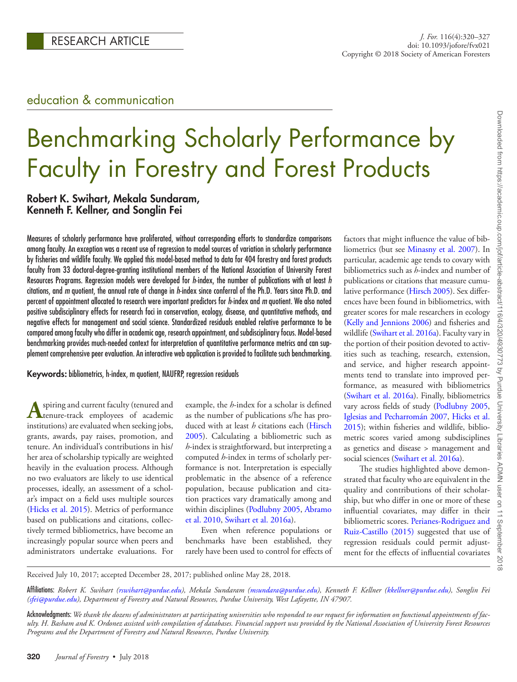# education & communication

# Benchmarking Scholarly Performance by Faculty in Forestry and Forest Products

## Robert K. Swihart, Mekala Sundaram, Kenneth F. Kellner, and Songlin Fei

Measures of scholarly performance have proliferated, without corresponding efforts to standardize comparisons among faculty. An exception was a recent use of regression to model sources of variation in scholarly performance by fisheries and wildlife faculty. We applied this model-based method to data for 404 forestry and forest products faculty from 33 doctoral-degree-granting institutional members of the National Association of University Forest Resources Programs. Regression models were developed for *h*-index, the number of publications with at least *h* citations, and *m* quotient, the annual rate of change in *h*-index since conferral of the Ph.D. Years since Ph.D. and percent of appointment allocated to research were important predictors for *h*-index and *m* quotient. We also noted positive subdisciplinary effects for research foci in conservation, ecology, disease, and quantitative methods, and negative effects for management and social science. Standardized residuals enabled relative performance to be compared among faculty who differ in academic age, research appointment, and subdisciplinary focus. Model-based benchmarking provides much-needed context for interpretation of quantitative performance metrics and can supplement comprehensive peer evaluation. An interactive web application is provided to facilitate such benchmarking.

Keywords: bibliometrics, h-index, m quotient, NAUFRP, regression residuals

**A**spiring and current faculty (tenured and tenure-track employees of academic institutions) are evaluated when seeking jobs, grants, awards, pay raises, promotion, and tenure. An individual's contributions in his/ her area of scholarship typically are weighted heavily in the evaluation process. Although no two evaluators are likely to use identical processes, ideally, an assessment of a scholar's impact on a field uses multiple sources [\(Hicks et al. 2015](#page-7-0)). Metrics of performance based on publications and citations, collectively termed bibliometrics, have become an increasingly popular source when peers and administrators undertake evaluations. For

example, the *h*-index for a scholar is defined as the number of publications s/he has produced with at least *h* citations each [\(Hirsch](#page-7-1) [2005\)](#page-7-1). Calculating a bibliometric such as *h*-index is straightforward, but interpreting a computed *h*-index in terms of scholarly performance is not. Interpretation is especially problematic in the absence of a reference population, because publication and citation practices vary dramatically among and within disciplines ([Podlubny 2005,](#page-7-2) [Abramo](#page-7-3) [et al. 2010](#page-7-3), [Swihart et al. 2016a](#page-7-4)).

Even when reference populations or benchmarks have been established, they rarely have been used to control for effects of

factors that might influence the value of bibliometrics (but see [Minasny et al. 2007\)](#page-7-5). In particular, academic age tends to covary with bibliometrics such as *h*-index and number of publications or citations that measure cumulative performance ([Hirsch 2005](#page-7-1)). Sex differences have been found in bibliometrics, with greater scores for male researchers in ecology [\(Kelly and Jennions 2006\)](#page-7-6) and fisheries and wildlife ([Swihart et al. 2016a](#page-7-4)). Faculty vary in the portion of their position devoted to activities such as teaching, research, extension, and service, and higher research appointments tend to translate into improved performance, as measured with bibliometrics [\(Swihart et al. 2016a](#page-7-4)). Finally, bibliometrics vary across fields of study [\(Podlubny 2005](#page-7-2), [Iglesias and Pecharromán 2007,](#page-7-7) [Hicks et al.](#page-7-0)  [2015\)](#page-7-0); within fisheries and wildlife, bibliometric scores varied among subdisciplines as genetics and disease > management and social sciences ([Swihart et al. 2016a\)](#page-7-4).

The studies highlighted above demonstrated that faculty who are equivalent in the quality and contributions of their scholarship, but who differ in one or more of these influential covariates, may differ in their bibliometric scores. [Perianes-Rodriguez and](#page-7-8)  [Ruiz-Castillo \(2015\)](#page-7-8) suggested that use of regression residuals could permit adjustment for the effects of influential covariates

Received July 10, 2017; accepted December 28, 2017; published online May 28, 2018.

Affiliations: *Robert K. Swihart [\(rswihart@purdue.edu](mailto:rswihart@purdue.edu?subject=)), Mekala Sundaram [\(msundara@purdue.edu\)](mailto:msundara@purdue.edu?subject=), Kenneth F. Kellner ([kkellner@purdue.edu](mailto:kkellner@purdue.edu?subject=)), Songlin Fei ([sfei@purdue.edu](mailto:sfei@purdue.edu?subject=)), Department of Forestry and Natural Resources, Purdue University, West Lafayette, IN 47907.*

Acknowledgments: *We thank the dozens of administrators at participating universities who responded to our request for information on functional appointments of faculty. H. Basham and K. Ordonez assisted with compilation of databases. Financial support was provided by the National Association of University Forest Resources Programs and the Department of Forestry and Natural Resources, Purdue University.*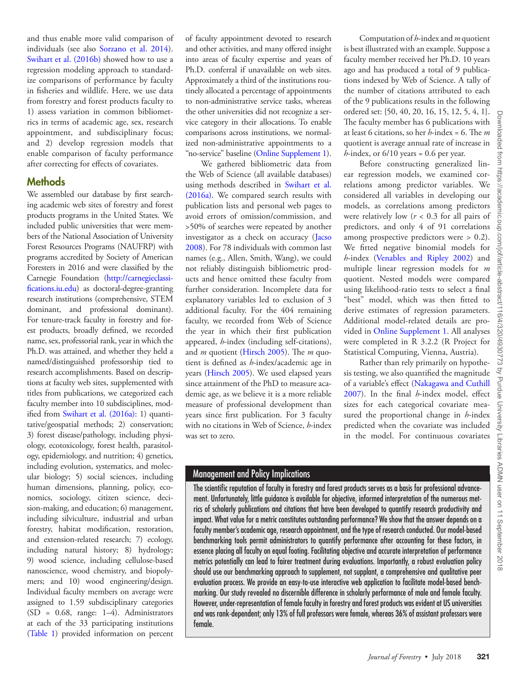and thus enable more valid comparison of individuals (see also [Sorzano et al. 2014](#page-7-9)). [Swihart et al. \(2016b\)](#page-7-10) showed how to use a regression modeling approach to standardize comparisons of performance by faculty in fisheries and wildlife. Here, we use data from forestry and forest products faculty to 1) assess variation in common bibliometrics in terms of academic age, sex, research appointment, and subdisciplinary focus; and 2) develop regression models that enable comparison of faculty performance after correcting for effects of covariates.

#### Methods

We assembled our database by first searching academic web sites of forestry and forest products programs in the United States. We included public universities that were members of the National Association of University Forest Resources Programs (NAUFRP) with programs accredited by Society of American Foresters in 2016 and were classified by the Carnegie Foundation [\(http://carnegieclassi](http://carnegieclassifications.iu.edu)[fications.iu.edu\)](http://carnegieclassifications.iu.edu) as doctoral-degree-granting research institutions (comprehensive, STEM dominant, and professional dominant). For tenure-track faculty in forestry and forest products, broadly defined, we recorded name, sex, professorial rank, year in which the Ph.D. was attained, and whether they held a named/distinguished professorship tied to research accomplishments. Based on descriptions at faculty web sites, supplemented with titles from publications, we categorized each faculty member into 10 subdisciplines, modified from [Swihart et al. \(2016a\):](#page-7-4) 1) quantitative/geospatial methods; 2) conservation; 3) forest disease/pathology, including physiology, ecotoxicology, forest health, parasitology, epidemiology, and nutrition; 4) genetics, including evolution, systematics, and molecular biology; 5) social sciences, including human dimensions, planning, policy, economics, sociology, citizen science, decision-making, and education; 6) management, including silviculture, industrial and urban forestry, habitat modification, restoration, and extension-related research; 7) ecology, including natural history; 8) hydrology; 9) wood science, including cellulose-based nanoscience, wood chemistry, and biopolymers; and 10) wood engineering/design. Individual faculty members on average were assigned to 1.59 subdisciplinary categories  $(SD = 0.68, \text{ range: } 1-4)$ . Administrators at each of the 33 participating institutions [\(Table 1\)](#page-2-0) provided information on percent

of faculty appointment devoted to research and other activities, and many offered insight into areas of faculty expertise and years of Ph.D. conferral if unavailable on web sites. Approximately a third of the institutions routinely allocated a percentage of appointments to non-administrative service tasks, whereas the other universities did not recognize a service category in their allocations. To enable comparisons across institutions, we normalized non-administrative appointments to a "no-service" baseline [\(Online Supplement 1](https://academic.oup.com/jof/article-lookup/doi/10.1093/jofore/fvx021#supplementary-data)).

We gathered bibliometric data from the Web of Science (all available databases) using methods described in [Swihart et al.](#page-7-4)  [\(2016a\)](#page-7-4). We compared search results with publication lists and personal web pages to avoid errors of omission/commission, and >50% of searches were repeated by another investigator as a check on accuracy ([Jacso](#page-7-11)  [2008\)](#page-7-11). For 78 individuals with common last names (e.g., Allen, Smith, Wang), we could not reliably distinguish bibliometric products and hence omitted these faculty from further consideration. Incomplete data for explanatory variables led to exclusion of 3 additional faculty. For the 404 remaining faculty, we recorded from Web of Science the year in which their first publication appeared, *h*-index (including self-citations), and *m* quotient ([Hirsch 2005](#page-7-1)). The *m* quotient is defined as *h*-index/academic age in years ([Hirsch 2005\)](#page-7-1). We used elapsed years since attainment of the PhD to measure academic age, as we believe it is a more reliable measure of professional development than years since first publication. For 3 faculty with no citations in Web of Science, *h*-index was set to zero.

Computation of *h*-index and *m* quotient is best illustrated with an example. Suppose a faculty member received her Ph.D. 10 years ago and has produced a total of 9 publications indexed by Web of Science. A tally of the number of citations attributed to each of the 9 publications results in the following ordered set: {50, 40, 20, 16, 15, 12, 5, 4, 1}. The faculty member has 6 publications with at least 6 citations, so her *h*-index = 6. The *m* quotient is average annual rate of increase in  $h$ -index, or  $6/10$  years = 0.6 per year.

Before constructing generalized linear regression models, we examined correlations among predictor variables. We considered all variables in developing our models, as correlations among predictors were relatively low  $(r < 0.3$  for all pairs of predictors, and only 4 of 91 correlations among prospective predictors were > 0.2). We fitted negative binomial models for *h*-index [\(Venables and Ripley 2002](#page-7-12)) and multiple linear regression models for *m* quotient. Nested models were compared using likelihood-ratio tests to select a final "best" model, which was then fitted to derive estimates of regression parameters. Additional model-related details are provided in [Online Supplement 1](https://academic.oup.com/jof/article-lookup/doi/10.1093/jofore/fvx021#supplementary-data). All analyses were completed in R 3.2.2 (R Project for Statistical Computing, Vienna, Austria).

Rather than rely primarily on hypothesis testing, we also quantified the magnitude of a variable's effect ([Nakagawa and Cuthill](#page-7-13)  [2007\)](#page-7-13). In the final *h*-index model, effect sizes for each categorical covariate measured the proportional change in *h*-index predicted when the covariate was included in the model. For continuous covariates

### Management and Policy Implications

The scientific reputation of faculty in forestry and forest products serves as a basis for professional advancement. Unfortunately, little guidance is available for objective, informed interpretation of the numerous metrics of scholarly publications and citations that have been developed to quantify research productivity and impact. What value for a metric constitutes outstanding performance? We show that the answer depends on a faculty member's academic age, research appointment, and the type of research conducted. Our model-based benchmarking tools permit administrators to quantify performance after accounting for these factors, in essence placing all faculty on equal footing. Facilitating objective and accurate interpretation of performance metrics potentially can lead to fairer treatment during evaluations. Importantly, a robust evaluation policy should use our benchmarking approach to supplement, not supplant, a comprehensive and qualitative peer evaluation process. We provide an easy-to-use interactive web application to facilitate model-based benchmarking. Our study revealed no discernible difference in scholarly performance of male and female faculty. However, under-representation of female faculty in forestry and forest products was evident at US universities and was rank-dependent; only 13% of full professors were female, whereas 36% of assistant professors were female.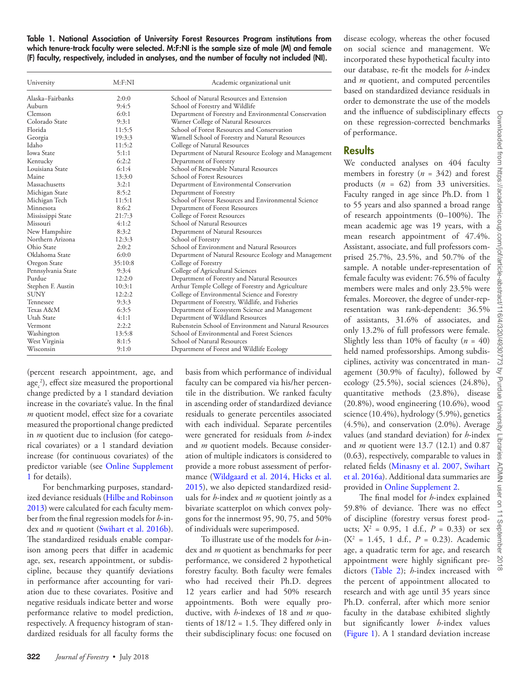<span id="page-2-0"></span>Table 1. National Association of University Forest Resources Program institutions from which tenure-track faculty were selected. M:F:NI is the sample size of male (M) and female (F) faculty, respectively, included in analyses, and the number of faculty not included (NI).

| University         | M: F: NI | Academic organizational unit                           |  |
|--------------------|----------|--------------------------------------------------------|--|
| Alaska–Fairbanks   | 2:0:0    | School of Natural Resources and Extension              |  |
| Auburn             | 9:4:5    | School of Forestry and Wildlife                        |  |
| Clemson            | 6:0:1    | Department of Forestry and Environmental Conservation  |  |
| Colorado State     | 9:3:1    | Warner College of Natural Resources                    |  |
| Florida            | 11:5:5   | School of Forest Resources and Conservation            |  |
| Georgia            | 19:3:3   | Warnell School of Forestry and Natural Resources       |  |
| Idaho              | 11:5:2   | College of Natural Resources                           |  |
| <b>Iowa State</b>  | 5:1:1    | Department of Natural Resource Ecology and Management  |  |
| Kentucky           | 6:2:2    | Department of Forestry                                 |  |
| Louisiana State    | 6:1:4    | School of Renewable Natural Resources                  |  |
| Maine              | 13:3:0   | School of Forest Resources                             |  |
| Massachusetts      | 3:2:1    | Department of Environmental Conservation               |  |
| Michigan State     | 8:5:2    | Department of Forestry                                 |  |
| Michigan Tech      | 11:5:1   | School of Forest Resources and Environmental Science   |  |
| Minnesota          | 8:6:2    | Department of Forest Resources                         |  |
| Mississippi State  | 21:7:3   | College of Forest Resources                            |  |
| Missouri           | 4:1:2    | School of Natural Resources                            |  |
| New Hampshire      | 8:3:2    | Department of Natural Resources                        |  |
| Northern Arizona   | 12:3:3   | School of Forestry                                     |  |
| Ohio State         | 2:0:2    | School of Environment and Natural Resources            |  |
| Oklahoma State     | 6:0:0    | Department of Natural Resource Ecology and Management  |  |
| Oregon State       | 35:10:8  | College of Forestry                                    |  |
| Pennsylvania State | 9:3:4    | College of Agricultural Sciences                       |  |
| Purdue             | 12:2:0   | Department of Forestry and Natural Resources           |  |
| Stephen F. Austin  | 10:3:1   | Arthur Temple College of Forestry and Agriculture      |  |
| <b>SUNY</b>        | 12:2:2   | College of Environmental Science and Forestry          |  |
| Tennessee          | 9:3:3    | Department of Forestry, Wildlife, and Fisheries        |  |
| Texas A&M          | 6:3:5    | Department of Ecosystem Science and Management         |  |
| Utah State         | 4:1:1    | Department of Wildland Resources                       |  |
| Vermont            | 2:2:2    | Rubenstein School of Environment and Natural Resources |  |
| Washington         | 13:5:8   | School of Environmental and Forest Sciences            |  |
| West Virginia      | 8:1:5    | School of Natural Resources                            |  |
| Wisconsin          | 9:1:0    | Department of Forest and Wildlife Ecology              |  |

(percent research appointment, age, and  $\text{age}_{c}^{2}$ ), effect size measured the proportional change predicted by a 1 standard deviation increase in the covariate's value. In the final *m* quotient model, effect size for a covariate measured the proportional change predicted in *m* quotient due to inclusion (for categorical covariates) or a 1 standard deviation increase (for continuous covariates) of the predictor variable (see [Online Supplement](https://academic.oup.com/jof/article-lookup/doi/10.1093/jofore/fvx021#supplementary-data) [1](https://academic.oup.com/jof/article-lookup/doi/10.1093/jofore/fvx021#supplementary-data) for details).

For benchmarking purposes, standardized deviance residuals [\(Hilbe and Robinson](#page-7-14) [2013\)](#page-7-14) were calculated for each faculty member from the final regression models for *h*-index and *m* quotient ([Swihart et al. 2016b](#page-7-10)). The standardized residuals enable comparison among peers that differ in academic age, sex, research appointment, or subdiscipline, because they quantify deviations in performance after accounting for variation due to these covariates. Positive and negative residuals indicate better and worse performance relative to model prediction, respectively. A frequency histogram of standardized residuals for all faculty forms the basis from which performance of individual faculty can be compared via his/her percentile in the distribution. We ranked faculty in ascending order of standardized deviance residuals to generate percentiles associated with each individual. Separate percentiles were generated for residuals from *h*-index and *m* quotient models. Because consideration of multiple indicators is considered to provide a more robust assessment of performance ([Wildgaard et al. 2014,](#page-7-15) [Hicks et al.](#page-7-0)  [2015\)](#page-7-0), we also depicted standardized residuals for *h*-index and *m* quotient jointly as a bivariate scatterplot on which convex polygons for the innermost 95, 90, 75, and 50% of individuals were superimposed.

To illustrate use of the models for *h*-index and *m* quotient as benchmarks for peer performance, we considered 2 hypothetical forestry faculty. Both faculty were females who had received their Ph.D. degrees 12 years earlier and had 50% research appointments. Both were equally productive, with *h*-indexes of 18 and *m* quotients of 18/12 = 1.5. They differed only in their subdisciplinary focus: one focused on

disease ecology, whereas the other focused on social science and management. We incorporated these hypothetical faculty into our database, re-fit the models for *h*-index and *m* quotient, and computed percentiles based on standardized deviance residuals in order to demonstrate the use of the models and the influence of subdisciplinary effects on these regression-corrected benchmarks of performance.

#### **Results**

We conducted analyses on 404 faculty members in forestry  $(n = 342)$  and forest products (*n* = 62) from 33 universities. Faculty ranged in age since Ph.D. from 1 to 55 years and also spanned a broad range of research appointments (0–100%). The mean academic age was 19 years, with a mean research appointment of 47.4%. Assistant, associate, and full professors comprised 25.7%, 23.5%, and 50.7% of the sample. A notable under-representation of female faculty was evident: 76.5% of faculty members were males and only 23.5% were females. Moreover, the degree of under-representation was rank-dependent: 36.5% of assistants, 31.6% of associates, and only 13.2% of full professors were female. Slightly less than 10% of faculty  $(n = 40)$ held named professorships. Among subdisciplines, activity was concentrated in management (30.9% of faculty), followed by ecology (25.5%), social sciences (24.8%), quantitative methods (23.8%), disease (20.8%), wood engineering (10.6%), wood science (10.4%), hydrology (5.9%), genetics (4.5%), and conservation (2.0%). Average values (and standard deviation) for *h*-index and *m* quotient were 13.7 (12.1) and 0.87 (0.63), respectively, comparable to values in related fields ([Minasny et al. 2007](#page-7-5), [Swihart](#page-7-4) [et al. 2016a](#page-7-4)). Additional data summaries are provided in [Online Supplement 2.](https://academic.oup.com/jof/article-lookup/doi/10.1093/jofore/fvx021#supplementary-data)

The final model for *h*-index explained 59.8% of deviance. There was no effect of discipline (forestry versus forest products;  $X^2 = 0.95$ , 1 d.f.,  $P = 0.33$ ) or sex  $(X^2 = 1.45, 1 d.f., P = 0.23)$ . Academic age, a quadratic term for age, and research appointment were highly significant predictors ([Table 2](#page-3-0)); *h*-index increased with the percent of appointment allocated to research and with age until 35 years since Ph.D. conferral, after which more senior faculty in the database exhibited slightly but significantly lower *h*-index values [\(Figure 1\)](#page-3-1). A 1 standard deviation increase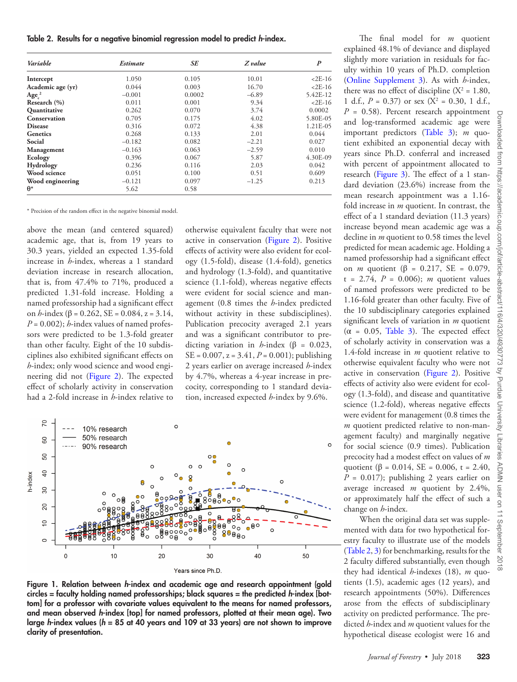<span id="page-3-0"></span>Table 2. Results for a negative binomial regression model to predict *h*-index.

| Variable                      | <i><b>Estimate</b></i> | SE     | Z value | $\boldsymbol{P}$ |
|-------------------------------|------------------------|--------|---------|------------------|
| Intercept                     | 1.050                  | 0.105  | 10.01   | $2E-16$          |
| Academic age (yr)             | 0.044                  | 0.003  | 16.70   | $2E-16$          |
| Age <sub>c</sub> <sup>2</sup> | $-0.001$               | 0.0002 | $-6.89$ | 5.42E-12         |
| Research (%)                  | 0.011                  | 0.001  | 9.34    | $2E-16$          |
| Quantitative                  | 0.262                  | 0.070  | 3.74    | 0.0002           |
| Conservation                  | 0.705                  | 0.175  | 4.02    | 5.80E-05         |
| <b>Disease</b>                | 0.316                  | 0.072  | 4.38    | 1.21E-05         |
| <b>Genetics</b>               | 0.268                  | 0.133  | 2.01    | 0.044            |
| Social                        | $-0.182$               | 0.082  | $-2.21$ | 0.027            |
| Management                    | $-0.163$               | 0.063  | $-2.59$ | 0.010            |
| Ecology                       | 0.396                  | 0.067  | 5.87    | 4.30E-09         |
| Hydrology                     | 0.236                  | 0.116  | 2.03    | 0.042            |
| Wood science                  | 0.051                  | 0.100  | 0.51    | 0.609            |
| Wood engineering              | $-0.121$               | 0.097  | $-1.25$ | 0.213            |
| $\theta^*$                    | 5.62                   | 0.58   |         |                  |

\* Precision of the random effect in the negative binomial model.

above the mean (and centered squared) academic age, that is, from 19 years to 30.3 years, yielded an expected 1.35-fold increase in *h*-index, whereas a 1 standard deviation increase in research allocation, that is, from 47.4% to 71%, produced a predicted 1.31-fold increase. Holding a named professorship had a significant effect on *h*-index (β = 0.262, SE = 0.084, z = 3.14,  $P = 0.002$ ; *h*-index values of named professors were predicted to be 1.3-fold greater than other faculty. Eight of the 10 subdisciplines also exhibited significant effects on *h*-index; only wood science and wood engineering did not [\(Figure 2](#page-4-0)). The expected effect of scholarly activity in conservation had a 2-fold increase in *h*-index relative to

otherwise equivalent faculty that were not active in conservation ([Figure 2](#page-4-0)). Positive effects of activity were also evident for ecology (1.5-fold), disease (1.4-fold), genetics and hydrology (1.3-fold), and quantitative science (1.1-fold), whereas negative effects were evident for social science and management (0.8 times the *h*-index predicted without activity in these subdisciplines). Publication precocity averaged 2.1 years and was a significant contributor to predicting variation in *h*-index ( $\beta$  = 0.023,  $SE = 0.007$ ,  $z = 3.41$ ,  $P = 0.001$ ); publishing 2 years earlier on average increased *h*-index by 4.7%, whereas a 4-year increase in precocity, corresponding to 1 standard deviation, increased expected *h*-index by 9.6%.



<span id="page-3-1"></span>Figure 1. Relation between *h*-index and academic age and research appointment (gold circles = faculty holding named professorships; black squares = the predicted *h*-index [bottom] for a professor with covariate values equivalent to the means for named professors, and mean observed *h*-index [top] for named professors, plotted at their mean age). Two large *h*-index values (*h* = 85 at 40 years and 109 at 33 years) are not shown to improve clarity of presentation.

explained 48.1% of deviance and displayed slightly more variation in residuals for faculty within 10 years of Ph.D. completion [\(Online Supplement 3\)](https://academic.oup.com/jof/article-lookup/doi/10.1093/jofore/fvx021#supplementary-data). As with *h*-index, there was no effect of discipline  $(X^2 = 1.80)$ , 1 d.f.,  $P = 0.37$ ) or sex ( $X^2 = 0.30$ , 1 d.f.,  $P = 0.58$ ). Percent research appointment and log-transformed academic age were important predictors ([Table 3\)](#page-4-1); *m* quotient exhibited an exponential decay with years since Ph.D. conferral and increased with percent of appointment allocated to research ([Figure 3](#page-5-0)). The effect of a 1 standard deviation (23.6%) increase from the mean research appointment was a 1.16 fold increase in *m* quotient. In contrast, the effect of a 1 standard deviation (11.3 years) increase beyond mean academic age was a decline in *m* quotient to 0.58 times the level predicted for mean academic age. Holding a named professorship had a significant effect on *m* quotient ( $\beta$  = 0.217, SE = 0.079,  $t = 2.74$ ,  $P = 0.006$ ; *m* quotient values of named professors were predicted to be 1.16-fold greater than other faculty. Five of the 10 subdisciplinary categories explained significant levels of variation in *m* quotient  $(\alpha = 0.05,$  Table 3). The expected effect of scholarly activity in conservation was a 1.4-fold increase in *m* quotient relative to otherwise equivalent faculty who were not active in conservation ([Figure 2](#page-4-0)). Positive effects of activity also were evident for ecology (1.3-fold), and disease and quantitative science (1.2-fold), whereas negative effects were evident for management (0.8 times the *m* quotient predicted relative to non-management faculty) and marginally negative for social science (0.9 times). Publication precocity had a modest effect on values of *m* quotient ( $\beta = 0.014$ , SE = 0.006, t = 2.40,  $P = 0.017$ ; publishing 2 years earlier on average increased *m* quotient by 2.4%, or approximately half the effect of such a change on *h*-index.

The final model for *m* quotient

When the original data set was supplemented with data for two hypothetical forestry faculty to illustrate use of the models [\(Table 2,](#page-3-0) [3\)](#page-4-1) for benchmarking, results for the 2 faculty differed substantially, even though they had identical *h*-indexes (18), *m* quotients (1.5), academic ages (12 years), and research appointments (50%). Differences arose from the effects of subdisciplinary activity on predicted performance. The predicted *h*-index and *m* quotient values for the hypothetical disease ecologist were 16 and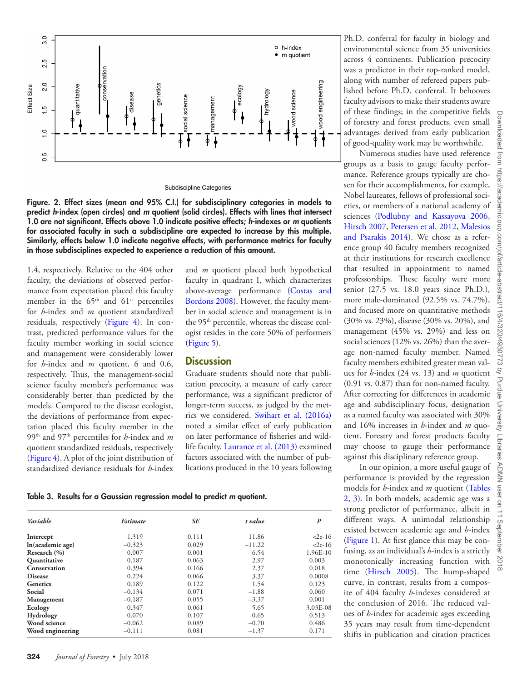

Subdiscipline Categories

<span id="page-4-0"></span>Figure. 2. Effect sizes (mean and 95% C.I.) for subdisciplinary categories in models to predict *h*-index (open circles) and *m* quotient (solid circles). Effects with lines that intersect 1.0 are not significant. Effects above 1.0 indicate positive effects; *h*-indexes or *m* quotients for associated faculty in such a subdiscipline are expected to increase by this multiple. Similarly, effects below 1.0 indicate negative effects, with performance metrics for faculty in those subdisciplines expected to experience a reduction of this amount.

1.4, respectively. Relative to the 404 other faculty, the deviations of observed performance from expectation placed this faculty member in the  $65<sup>th</sup>$  and  $61<sup>st</sup>$  percentiles for *h*-index and *m* quotient standardized residuals, respectively ([Figure 4\)](#page-5-1). In contrast, predicted performance values for the faculty member working in social science and management were considerably lower for *h*-index and *m* quotient, 6 and 0.6, respectively. Thus, the management-social science faculty member's performance was considerably better than predicted by the models. Compared to the disease ecologist, the deviations of performance from expectation placed this faculty member in the 99th and 97th percentiles for *h*-index and *m* quotient standardized residuals, respectively [\(Figure 4\)](#page-5-1). A plot of the joint distribution of standardized deviance residuals for *h*-index

and *m* quotient placed both hypothetical faculty in quadrant I, which characterizes above-average performance [\(Costas and](#page-7-16)  [Bordons 2008\)](#page-7-16). However, the faculty member in social science and management is in the 95<sup>th</sup> percentile, whereas the disease ecologist resides in the core 50% of performers [\(Figure 5](#page-6-0)).

#### **Discussion**

Graduate students should note that publication precocity, a measure of early career performance, was a significant predictor of longer-term success, as judged by the metrics we considered. [Swihart et al. \(2016a\)](#page-7-4) noted a similar effect of early publication on later performance of fisheries and wildlife faculty. [Laurance et al. \(2013\)](#page-7-17) examined factors associated with the number of publications produced in the 10 years following

<span id="page-4-1"></span>Table 3. Results for a Gaussian regression model to predict *m* quotient.

| Variable         | <i><b>Estimate</b></i> | SE    | t value  | $\boldsymbol{P}$ |
|------------------|------------------------|-------|----------|------------------|
| Intercept        | 1.319                  | 0.111 | 11.86    | $2e-16$          |
| In(academic age) | $-0.323$               | 0.029 | $-11.22$ | $2e-16$          |
| Research (%)     | 0.007                  | 0.001 | 6.54     | 1.96E-10         |
| Quantitative     | 0.187                  | 0.063 | 2.97     | 0.003            |
| Conservation     | 0.394                  | 0.166 | 2.37     | 0.018            |
| <b>Disease</b>   | 0.224                  | 0.066 | 3.37     | 0.0008           |
| <b>Genetics</b>  | 0.189                  | 0.122 | 1.54     | 0.123            |
| Social           | $-0.134$               | 0.071 | $-1.88$  | 0.060            |
| Management       | $-0.187$               | 0.055 | $-3.37$  | 0.001            |
| Ecology          | 0.347                  | 0.061 | 5.65     | 3.03E-08         |
| Hydrology        | 0.070                  | 0.107 | 0.65     | 0.513            |
| Wood science     | $-0.062$               | 0.089 | $-0.70$  | 0.486            |
| Wood engineering | $-0.111$               | 0.081 | $-1.37$  | 0.171            |

Ph.D. conferral for faculty in biology and environmental science from 35 universities across 4 continents. Publication precocity was a predictor in their top-ranked model, along with number of refereed papers published before Ph.D. conferral. It behooves faculty advisors to make their students aware of these findings; in the competitive fields of forestry and forest products, even small advantages derived from early publication of good-quality work may be worthwhile.

Numerous studies have used reference groups as a basis to gauge faculty performance. Reference groups typically are chosen for their accomplishments, for example, Nobel laureates, fellows of professional societies, or members of a national academy of sciences ([Podlubny and Kassayova 2006](#page-7-18), [Hirsch 2007,](#page-7-19) [Petersen et al. 2012,](#page-7-20) [Malesios](#page-7-21) [and Psarakis 2014\)](#page-7-21). We chose as a reference group 40 faculty members recognized at their institutions for research excellence that resulted in appointment to named professorships. These faculty were more senior (27.5 vs. 18.0 years since Ph.D.), more male-dominated (92.5% vs. 74.7%), and focused more on quantitative methods (30% vs. 23%), disease (30% vs. 20%), and management (45% vs. 29%) and less on social sciences (12% vs. 26%) than the average non-named faculty member. Named faculty members exhibited greater mean values for *h*-index (24 vs. 13) and *m* quotient (0.91 vs. 0.87) than for non-named faculty. After correcting for differences in academic age and subdisciplinary focus, designation as a named faculty was associated with 30% and 16% increases in *h*-index and *m* quotient. Forestry and forest products faculty may choose to gauge their performance against this disciplinary reference group.

In our opinion, a more useful gauge of performance is provided by the regression models for *h*-index and *m* quotient ([Tables](#page-3-0)  [2](#page-3-0), [3\)](#page-4-1). In both models, academic age was a strong predictor of performance, albeit in different ways. A unimodal relationship existed between academic age and *h*-index [\(Figure 1\)](#page-3-1). At first glance this may be confusing, as an individual's *h*-index is a strictly monotonically increasing function with time ([Hirsch 2005\)](#page-7-1). The hump-shaped curve, in contrast, results from a composite of 404 faculty *h*-indexes considered at the conclusion of 2016. The reduced values of *h*-index for academic ages exceeding 35 years may result from time-dependent shifts in publication and citation practices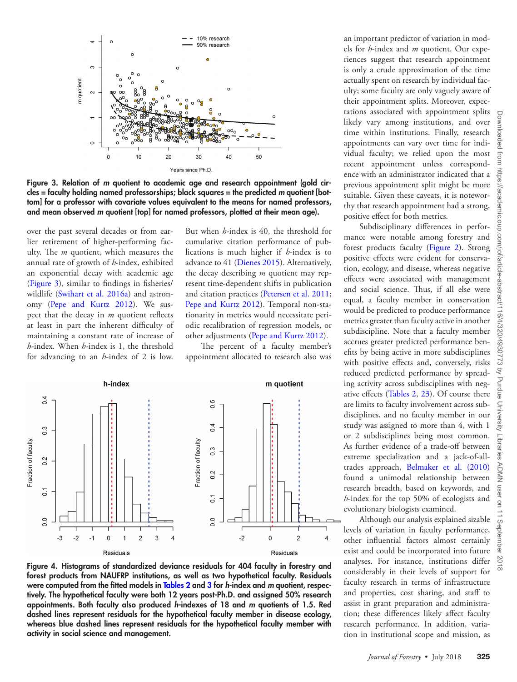

Figure 3. Relation of *m* quotient to academic age and research appointment (gold circles = faculty holding named professorships; black squares = the predicted *m* quotient [bottom] for a professor with covariate values equivalent to the means for named professors, and mean observed *m* quotient [top] for named professors, plotted at their mean age).

over the past several decades or from earlier retirement of higher-performing faculty. The *m* quotient, which measures the annual rate of growth of *h*-index, exhibited an exponential decay with academic age [\(Figure 3](#page-5-0)), similar to findings in fisheries/ wildlife ([Swihart et al. 2016a](#page-7-4)) and astronomy ([Pepe and Kurtz 2012\)](#page-7-22). We suspect that the decay in *m* quotient reflects at least in part the inherent difficulty of maintaining a constant rate of increase of *h*-index. When *h*-index is 1, the threshold for advancing to an *h*-index of 2 is low.

<span id="page-5-0"></span>But when *h*-index is 40, the threshold for cumulative citation performance of publications is much higher if *h*-index is to advance to 41 [\(Dienes 2015\)](#page-7-23). Alternatively, the decay describing *m* quotient may represent time-dependent shifts in publication and citation practices [\(Petersen et al. 2011](#page-7-24); [Pepe and Kurtz 2012\)](#page-7-22). Temporal non-stationarity in metrics would necessitate periodic recalibration of regression models, or other adjustments ([Pepe and Kurtz 2012\)](#page-7-22).

The percent of a faculty member's appointment allocated to research also was



<span id="page-5-1"></span>Figure 4. Histograms of standardized deviance residuals for 404 faculty in forestry and forest products from NAUFRP institutions, as well as two hypothetical faculty. Residuals were computed from the fitted models in [Tables 2](#page-3-0) and [3](#page-4-1) for *h*-index and *m* quotient, respectively. The hypothetical faculty were both 12 years post-Ph.D. and assigned 50% research appointments. Both faculty also produced *h*-indexes of 18 and *m* quotients of 1.5. Red dashed lines represent residuals for the hypothetical faculty member in disease ecology, whereas blue dashed lines represent residuals for the hypothetical faculty member with activity in social science and management.

an important predictor of variation in models for *h*-index and *m* quotient. Our experiences suggest that research appointment is only a crude approximation of the time actually spent on research by individual faculty; some faculty are only vaguely aware of their appointment splits. Moreover, expectations associated with appointment splits likely vary among institutions, and over time within institutions. Finally, research appointments can vary over time for individual faculty; we relied upon the most recent appointment unless correspondence with an administrator indicated that a previous appointment split might be more suitable. Given these caveats, it is noteworthy that research appointment had a strong, positive effect for both metrics.

Subdisciplinary differences in performance were notable among forestry and forest products faculty [\(Figure 2](#page-4-0)). Strong positive effects were evident for conservation, ecology, and disease, whereas negative effects were associated with management and social science. Thus, if all else were equal, a faculty member in conservation would be predicted to produce performance metrics greater than faculty active in another subdiscipline. Note that a faculty member accrues greater predicted performance benefits by being active in more subdisciplines with positive effects and, conversely, risks reduced predicted performance by spreading activity across subdisciplines with negative effects ([Tables 2](#page-3-0), [23\)](#page-3-0). Of course there are limits to faculty involvement across subdisciplines, and no faculty member in our study was assigned to more than 4, with 1 or 2 subdisciplines being most common. As further evidence of a trade-off between extreme specialization and a jack-of-alltrades approach, [Belmaker et al. \(2010\)](#page-7-25) found a unimodal relationship between research breadth, based on keywords, and *h*-index for the top 50% of ecologists and evolutionary biologists examined.

Although our analysis explained sizable levels of variation in faculty performance, other influential factors almost certainly exist and could be incorporated into future analyses. For instance, institutions differ considerably in their levels of support for faculty research in terms of infrastructure and properties, cost sharing, and staff to assist in grant preparation and administration; these differences likely affect faculty research performance. In addition, variation in institutional scope and mission, as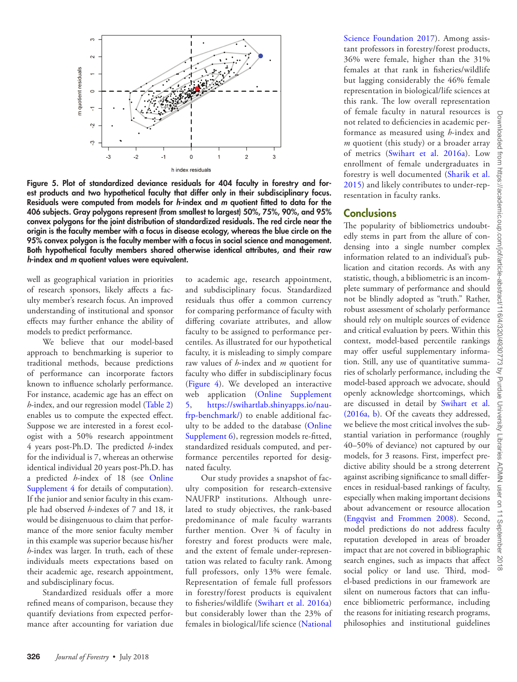

<span id="page-6-0"></span>Figure 5. Plot of standardized deviance residuals for 404 faculty in forestry and forest products and two hypothetical faculty that differ only in their subdisciplinary focus. Residuals were computed from models for *h*-index and *m* quotient fitted to data for the 406 subjects. Gray polygons represent (from smallest to largest) 50%, 75%, 90%, and 95% convex polygons for the joint distribution of standardized residuals. The red circle near the origin is the faculty member with a focus in disease ecology, whereas the blue circle on the 95% convex polygon is the faculty member with a focus in social science and management. Both hypothetical faculty members shared otherwise identical attributes, and their raw *h*-index and *m* quotient values were equivalent.

well as geographical variation in priorities of research sponsors, likely affects a faculty member's research focus. An improved understanding of institutional and sponsor effects may further enhance the ability of models to predict performance.

We believe that our model-based approach to benchmarking is superior to traditional methods, because predictions of performance can incorporate factors known to influence scholarly performance. For instance, academic age has an effect on *h*-index, and our regression model ([Table 2\)](#page-3-0) enables us to compute the expected effect. Suppose we are interested in a forest ecologist with a 50% research appointment 4 years post-Ph.D. The predicted *h*-index for the individual is 7, whereas an otherwise identical individual 20 years post-Ph.D. has a predicted *h*-index of 18 (see [Online](https://academic.oup.com/jof/article-lookup/doi/10.1093/jofore/fvx021#supplementary-data) [Supplement 4](https://academic.oup.com/jof/article-lookup/doi/10.1093/jofore/fvx021#supplementary-data) for details of computation). If the junior and senior faculty in this example had observed *h*-indexes of 7 and 18, it would be disingenuous to claim that performance of the more senior faculty member in this example was superior because his/her *h*-index was larger. In truth, each of these individuals meets expectations based on their academic age, research appointment, and subdisciplinary focus.

Standardized residuals offer a more refined means of comparison, because they quantify deviations from expected performance after accounting for variation due

to academic age, research appointment, and subdisciplinary focus. Standardized residuals thus offer a common currency for comparing performance of faculty with differing covariate attributes, and allow faculty to be assigned to performance percentiles. As illustrated for our hypothetical faculty, it is misleading to simply compare raw values of *h*-index and *m* quotient for faculty who differ in subdisciplinary focus [\(Figure 4\)](#page-5-1). We developed an interactive web application ([Online Supplement](https://academic.oup.com/jof/article-lookup/doi/10.1093/jofore/fvx021#supplementary-data)  [5](https://academic.oup.com/jof/article-lookup/doi/10.1093/jofore/fvx021#supplementary-data), [https://swihartlab.shinyapps.io/nau](https://swihartlab.shinyapps.io/naufrp-benchmark/)[frp-benchmark/\)](https://swihartlab.shinyapps.io/naufrp-benchmark/) to enable additional faculty to be added to the database [\(Online](https://academic.oup.com/jof/article-lookup/doi/10.1093/jofore/fvx021#supplementary-data) [Supplement 6\)](https://academic.oup.com/jof/article-lookup/doi/10.1093/jofore/fvx021#supplementary-data), regression models re-fitted, standardized residuals computed, and performance percentiles reported for designated faculty.

Our study provides a snapshot of faculty composition for research-extensive NAUFRP institutions. Although unrelated to study objectives, the rank-based predominance of male faculty warrants further mention. Over ¾ of faculty in forestry and forest products were male, and the extent of female under-representation was related to faculty rank. Among full professors, only 13% were female. Representation of female full professors in forestry/forest products is equivalent to fisheries/wildlife ([Swihart et al. 2016a\)](#page-7-4) but considerably lower than the 23% of females in biological/life science ([National](#page-7-26) [Science Foundation 2017\)](#page-7-26). Among assistant professors in forestry/forest products, 36% were female, higher than the 31% females at that rank in fisheries/wildlife but lagging considerably the 46% female representation in biological/life sciences at this rank. The low overall representation of female faculty in natural resources is not related to deficiencies in academic performance as measured using *h*-index and *m* quotient (this study) or a broader array of metrics [\(Swihart et al. 2016a](#page-7-4)). Low enrollment of female undergraduates in forestry is well documented ([Sharik et al.](#page-7-27) [2015\)](#page-7-27) and likely contributes to under-representation in faculty ranks.

#### **Conclusions**

The popularity of bibliometrics undoubtedly stems in part from the allure of condensing into a single number complex information related to an individual's publication and citation records. As with any statistic, though, a bibliometric is an incomplete summary of performance and should not be blindly adopted as "truth." Rather, robust assessment of scholarly performance should rely on multiple sources of evidence and critical evaluation by peers. Within this context, model-based percentile rankings may offer useful supplementary information. Still, any use of quantitative summaries of scholarly performance, including the model-based approach we advocate, should openly acknowledge shortcomings, which are discussed in detail by [Swihart et al.](#page-7-4)  [\(2016a, b](#page-7-4)). Of the caveats they addressed, we believe the most critical involves the substantial variation in performance (roughly 40–50% of deviance) not captured by our models, for 3 reasons. First, imperfect predictive ability should be a strong deterrent against ascribing significance to small differences in residual-based rankings of faculty, especially when making important decisions about advancement or resource allocation [\(Engqvist and Frommen 2008](#page-7-28)). Second, model predictions do not address faculty reputation developed in areas of broader impact that are not covered in bibliographic search engines, such as impacts that affect social policy or land use. Third, model-based predictions in our framework are silent on numerous factors that can influence bibliometric performance, including the reasons for initiating research programs, philosophies and institutional guidelines